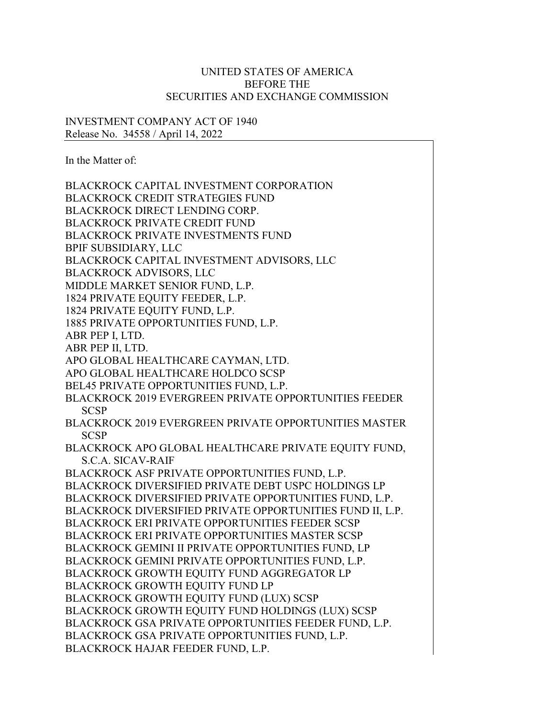## UNITED STATES OF AMERICA BEFORE THE SECURITIES AND EXCHANGE COMMISSION

## INVESTMENT COMPANY ACT OF 1940 Release No. 34558 / April 14, 2022

In the Matter of:

BLACKROCK CAPITAL INVESTMENT CORPORATION BLACKROCK CREDIT STRATEGIES FUND BLACKROCK DIRECT LENDING CORP. BLACKROCK PRIVATE CREDIT FUND BLACKROCK PRIVATE INVESTMENTS FUND BPIF SUBSIDIARY, LLC BLACKROCK CAPITAL INVESTMENT ADVISORS, LLC BLACKROCK ADVISORS, LLC MIDDLE MARKET SENIOR FUND, L.P. 1824 PRIVATE EQUITY FEEDER, L.P. 1824 PRIVATE EQUITY FUND, L.P. 1885 PRIVATE OPPORTUNITIES FUND, L.P. ABR PEP I, LTD. ABR PEP II, LTD. APO GLOBAL HEALTHCARE CAYMAN, LTD. APO GLOBAL HEALTHCARE HOLDCO SCSP BEL45 PRIVATE OPPORTUNITIES FUND, L.P. BLACKROCK 2019 EVERGREEN PRIVATE OPPORTUNITIES FEEDER **SCSP** BLACKROCK 2019 EVERGREEN PRIVATE OPPORTUNITIES MASTER SCSP BLACKROCK APO GLOBAL HEALTHCARE PRIVATE EQUITY FUND, S.C.A. SICAV-RAIF BLACKROCK ASF PRIVATE OPPORTUNITIES FUND, L.P. BLACKROCK DIVERSIFIED PRIVATE DEBT USPC HOLDINGS LP BLACKROCK DIVERSIFIED PRIVATE OPPORTUNITIES FUND, L.P. BLACKROCK DIVERSIFIED PRIVATE OPPORTUNITIES FUND II, L.P. BLACKROCK ERI PRIVATE OPPORTUNITIES FEEDER SCSP BLACKROCK ERI PRIVATE OPPORTUNITIES MASTER SCSP BLACKROCK GEMINI II PRIVATE OPPORTUNITIES FUND, LP BLACKROCK GEMINI PRIVATE OPPORTUNITIES FUND, L.P. BLACKROCK GROWTH EQUITY FUND AGGREGATOR LP BLACKROCK GROWTH EQUITY FUND LP BLACKROCK GROWTH EQUITY FUND (LUX) SCSP BLACKROCK GROWTH EQUITY FUND HOLDINGS (LUX) SCSP BLACKROCK GSA PRIVATE OPPORTUNITIES FEEDER FUND, L.P. BLACKROCK GSA PRIVATE OPPORTUNITIES FUND, L.P. BLACKROCK HAJAR FEEDER FUND, L.P.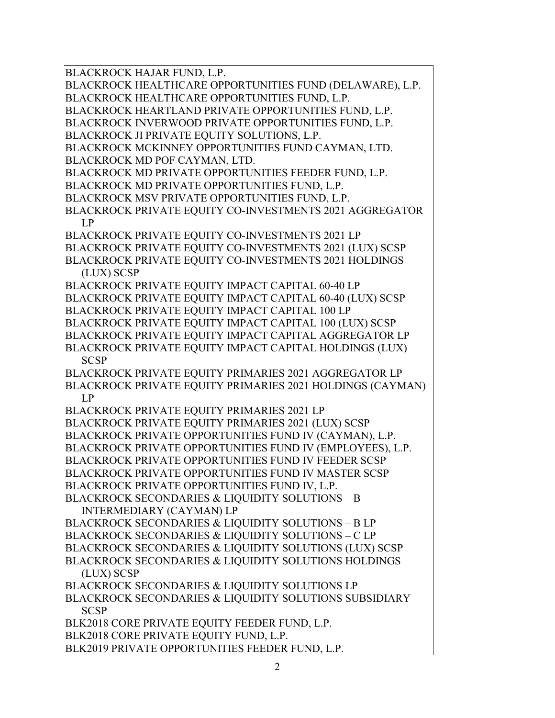BLACKROCK HAJAR FUND, L.P.

BLACKROCK HEALTHCARE OPPORTUNITIES FUND (DELAWARE), L.P. BLACKROCK HEALTHCARE OPPORTUNITIES FUND, L.P.

BLACKROCK HEARTLAND PRIVATE OPPORTUNITIES FUND, L.P.

BLACKROCK INVERWOOD PRIVATE OPPORTUNITIES FUND, L.P.

BLACKROCK JI PRIVATE EQUITY SOLUTIONS, L.P.

BLACKROCK MCKINNEY OPPORTUNITIES FUND CAYMAN, LTD. BLACKROCK MD POF CAYMAN, LTD.

BLACKROCK MD PRIVATE OPPORTUNITIES FEEDER FUND, L.P.

BLACKROCK MD PRIVATE OPPORTUNITIES FUND, L.P.

BLACKROCK MSV PRIVATE OPPORTUNITIES FUND, L.P.

BLACKROCK PRIVATE EQUITY CO-INVESTMENTS 2021 AGGREGATOR LP

BLACKROCK PRIVATE EQUITY CO-INVESTMENTS 2021 LP BLACKROCK PRIVATE EQUITY CO-INVESTMENTS 2021 (LUX) SCSP BLACKROCK PRIVATE EQUITY CO-INVESTMENTS 2021 HOLDINGS

(LUX) SCSP

BLACKROCK PRIVATE EQUITY IMPACT CAPITAL 60-40 LP BLACKROCK PRIVATE EQUITY IMPACT CAPITAL 60-40 (LUX) SCSP BLACKROCK PRIVATE EQUITY IMPACT CAPITAL 100 LP BLACKROCK PRIVATE EQUITY IMPACT CAPITAL 100 (LUX) SCSP BLACKROCK PRIVATE EQUITY IMPACT CAPITAL AGGREGATOR LP

BLACKROCK PRIVATE EQUITY IMPACT CAPITAL HOLDINGS (LUX) **SCSP** 

BLACKROCK PRIVATE EQUITY PRIMARIES 2021 AGGREGATOR LP BLACKROCK PRIVATE EQUITY PRIMARIES 2021 HOLDINGS (CAYMAN) LP

BLACKROCK PRIVATE EQUITY PRIMARIES 2021 LP

BLACKROCK PRIVATE EQUITY PRIMARIES 2021 (LUX) SCSP BLACKROCK PRIVATE OPPORTUNITIES FUND IV (CAYMAN), L.P.

BLACKROCK PRIVATE OPPORTUNITIES FUND IV (EMPLOYEES), L.P.

BLACKROCK PRIVATE OPPORTUNITIES FUND IV FEEDER SCSP

BLACKROCK PRIVATE OPPORTUNITIES FUND IV MASTER SCSP

BLACKROCK PRIVATE OPPORTUNITIES FUND IV, L.P.

BLACKROCK SECONDARIES & LIQUIDITY SOLUTIONS – B INTERMEDIARY (CAYMAN) LP

BLACKROCK SECONDARIES & LIQUIDITY SOLUTIONS – B LP

BLACKROCK SECONDARIES & LIQUIDITY SOLUTIONS – C LP

BLACKROCK SECONDARIES & LIQUIDITY SOLUTIONS (LUX) SCSP

BLACKROCK SECONDARIES & LIQUIDITY SOLUTIONS HOLDINGS (LUX) SCSP

BLACKROCK SECONDARIES & LIQUIDITY SOLUTIONS LP

BLACKROCK SECONDARIES & LIQUIDITY SOLUTIONS SUBSIDIARY SCSP

BLK2018 CORE PRIVATE EQUITY FEEDER FUND, L.P.

BLK2018 CORE PRIVATE EQUITY FUND, L.P.

BLK2019 PRIVATE OPPORTUNITIES FEEDER FUND, L.P.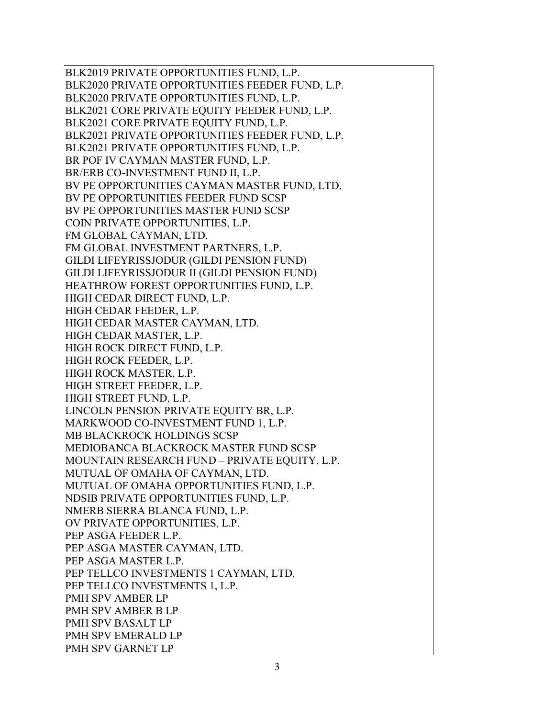BLK2019 PRIVATE OPPORTUNITIES FUND, L.P. BLK2020 PRIVATE OPPORTUNITIES FEEDER FUND, L.P. BLK2020 PRIVATE OPPORTUNITIES FUND, L.P. BLK2021 CORE PRIVATE EQUITY FEEDER FUND, L.P. BLK2021 CORE PRIVATE EQUITY FUND, L.P. BLK2021 PRIVATE OPPORTUNITIES FEEDER FUND, L.P. BLK2021 PRIVATE OPPORTUNITIES FUND, L.P. BR POF IV CAYMAN MASTER FUND, L.P. BR/ERB CO-INVESTMENT FUND II, L.P. BV PE OPPORTUNITIES CAYMAN MASTER FUND, LTD. BV PE OPPORTUNITIES FEEDER FUND SCSP BV PE OPPORTUNITIES MASTER FUND SCSP COIN PRIVATE OPPORTUNITIES, L.P. FM GLOBAL CAYMAN, LTD. FM GLOBAL INVESTMENT PARTNERS, L.P. GILDI LIFEYRISSJODUR (GILDI PENSION FUND) GILDI LIFEYRISSJODUR II (GILDI PENSION FUND) HEATHROW FOREST OPPORTUNITIES FUND, L.P. HIGH CEDAR DIRECT FUND, L.P. HIGH CEDAR FEEDER, L.P. HIGH CEDAR MASTER CAYMAN, LTD. HIGH CEDAR MASTER, L.P. HIGH ROCK DIRECT FUND, L.P. HIGH ROCK FEEDER, L.P. HIGH ROCK MASTER, L.P. HIGH STREET FEEDER, L.P. HIGH STREET FUND, L.P. LINCOLN PENSION PRIVATE EQUITY BR, L.P. MARKWOOD CO-INVESTMENT FUND 1, L.P. MB BLACKROCK HOLDINGS SCSP MEDIOBANCA BLACKROCK MASTER FUND SCSP MOUNTAIN RESEARCH FUND – PRIVATE EQUITY, L.P. MUTUAL OF OMAHA OF CAYMAN, LTD. MUTUAL OF OMAHA OPPORTUNITIES FUND, L.P. NDSIB PRIVATE OPPORTUNITIES FUND, L.P. NMERB SIERRA BLANCA FUND, L.P. OV PRIVATE OPPORTUNITIES, L.P. PEP ASGA FEEDER L.P. PEP ASGA MASTER CAYMAN, LTD. PEP ASGA MASTER L.P. PEP TELLCO INVESTMENTS 1 CAYMAN, LTD. PEP TELLCO INVESTMENTS 1, L.P. PMH SPV AMBER LP PMH SPV AMBER B LP PMH SPV BASALT LP PMH SPV EMERALD LP PMH SPV GARNET LP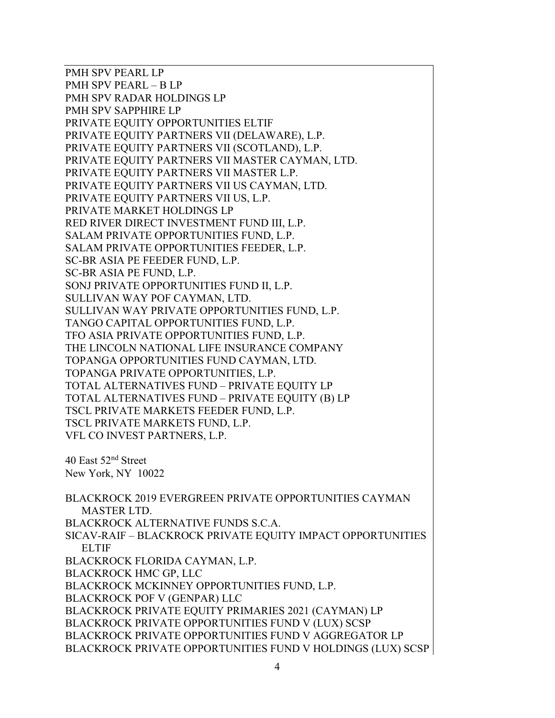PMH SPV PEARL LP PMH SPV PEARL – B LP PMH SPV RADAR HOLDINGS LP PMH SPV SAPPHIRE LP PRIVATE EQUITY OPPORTUNITIES ELTIF PRIVATE EQUITY PARTNERS VII (DELAWARE), L.P. PRIVATE EQUITY PARTNERS VII (SCOTLAND), L.P. PRIVATE EQUITY PARTNERS VII MASTER CAYMAN, LTD. PRIVATE EQUITY PARTNERS VII MASTER L.P. PRIVATE EQUITY PARTNERS VII US CAYMAN, LTD. PRIVATE EQUITY PARTNERS VII US, L.P. PRIVATE MARKET HOLDINGS LP RED RIVER DIRECT INVESTMENT FUND III, L.P. SALAM PRIVATE OPPORTUNITIES FUND, L.P. SALAM PRIVATE OPPORTUNITIES FEEDER, L.P. SC-BR ASIA PE FEEDER FUND, L.P. SC-BR ASIA PE FUND, L.P. SONJ PRIVATE OPPORTUNITIES FUND II, L.P. SULLIVAN WAY POF CAYMAN, LTD. SULLIVAN WAY PRIVATE OPPORTUNITIES FUND, L.P. TANGO CAPITAL OPPORTUNITIES FUND, L.P. TFO ASIA PRIVATE OPPORTUNITIES FUND, L.P. THE LINCOLN NATIONAL LIFE INSURANCE COMPANY TOPANGA OPPORTUNITIES FUND CAYMAN, LTD. TOPANGA PRIVATE OPPORTUNITIES, L.P. TOTAL ALTERNATIVES FUND – PRIVATE EQUITY LP TOTAL ALTERNATIVES FUND – PRIVATE EQUITY (B) LP TSCL PRIVATE MARKETS FEEDER FUND, L.P. TSCL PRIVATE MARKETS FUND, L.P. VFL CO INVEST PARTNERS, L.P. 40 East 52nd Street New York, NY 10022 BLACKROCK 2019 EVERGREEN PRIVATE OPPORTUNITIES CAYMAN MASTER LTD. BLACKROCK ALTERNATIVE FUNDS S.C.A. SICAV-RAIF – BLACKROCK PRIVATE EQUITY IMPACT OPPORTUNITIES ELTIF BLACKROCK FLORIDA CAYMAN, L.P. BLACKROCK HMC GP, LLC BLACKROCK MCKINNEY OPPORTUNITIES FUND, L.P. BLACKROCK POF V (GENPAR) LLC BLACKROCK PRIVATE EQUITY PRIMARIES 2021 (CAYMAN) LP BLACKROCK PRIVATE OPPORTUNITIES FUND V (LUX) SCSP BLACKROCK PRIVATE OPPORTUNITIES FUND V AGGREGATOR LP BLACKROCK PRIVATE OPPORTUNITIES FUND V HOLDINGS (LUX) SCSP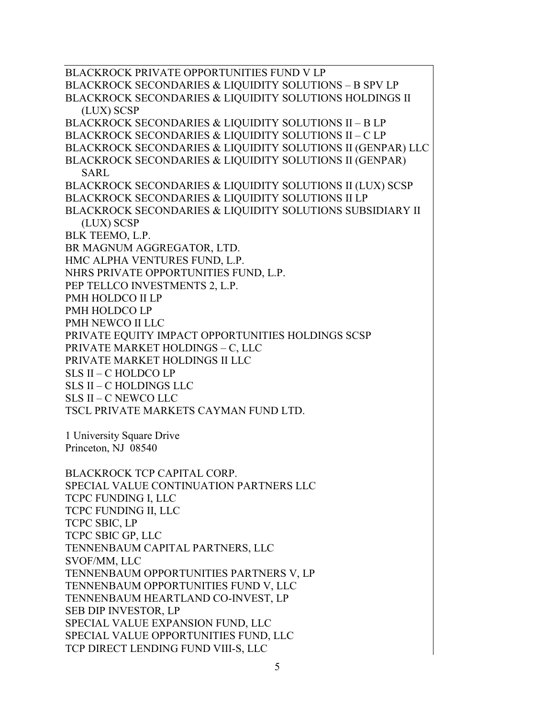BLACKROCK PRIVATE OPPORTUNITIES FUND V LP BLACKROCK SECONDARIES & LIQUIDITY SOLUTIONS – B SPV LP BLACKROCK SECONDARIES & LIQUIDITY SOLUTIONS HOLDINGS II (LUX) SCSP BLACKROCK SECONDARIES & LIQUIDITY SOLUTIONS II – B LP BLACKROCK SECONDARIES & LIQUIDITY SOLUTIONS II – C LP BLACKROCK SECONDARIES & LIQUIDITY SOLUTIONS II (GENPAR) LLC BLACKROCK SECONDARIES & LIQUIDITY SOLUTIONS II (GENPAR) SARL BLACKROCK SECONDARIES & LIQUIDITY SOLUTIONS II (LUX) SCSP BLACKROCK SECONDARIES & LIQUIDITY SOLUTIONS II LP BLACKROCK SECONDARIES & LIQUIDITY SOLUTIONS SUBSIDIARY II (LUX) SCSP BLK TEEMO, L.P. BR MAGNUM AGGREGATOR, LTD. HMC ALPHA VENTURES FUND, L.P. NHRS PRIVATE OPPORTUNITIES FUND, L.P. PEP TELLCO INVESTMENTS 2, L.P. PMH HOLDCO II LP PMH HOLDCO LP PMH NEWCO II LLC PRIVATE EQUITY IMPACT OPPORTUNITIES HOLDINGS SCSP PRIVATE MARKET HOLDINGS – C, LLC PRIVATE MARKET HOLDINGS II LLC SLS II – C HOLDCO LP SLS II – C HOLDINGS LLC SLS II – C NEWCO LLC TSCL PRIVATE MARKETS CAYMAN FUND LTD. 1 University Square Drive Princeton, NJ 08540 BLACKROCK TCP CAPITAL CORP.

SPECIAL VALUE CONTINUATION PARTNERS LLC TCPC FUNDING I, LLC TCPC FUNDING II, LLC TCPC SBIC, LP TCPC SBIC GP, LLC TENNENBAUM CAPITAL PARTNERS, LLC SVOF/MM, LLC TENNENBAUM OPPORTUNITIES PARTNERS V, LP TENNENBAUM OPPORTUNITIES FUND V, LLC TENNENBAUM HEARTLAND CO-INVEST, LP SEB DIP INVESTOR, LP SPECIAL VALUE EXPANSION FUND, LLC SPECIAL VALUE OPPORTUNITIES FUND, LLC TCP DIRECT LENDING FUND VIII-S, LLC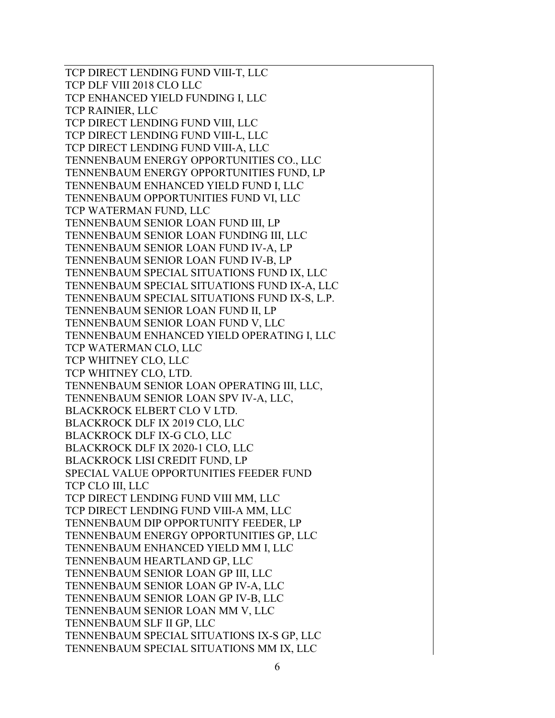TCP DIRECT LENDING FUND VIII-T, LLC TCP DLF VIII 2018 CLO LLC TCP ENHANCED YIELD FUNDING I, LLC TCP RAINIER, LLC TCP DIRECT LENDING FUND VIII, LLC TCP DIRECT LENDING FUND VIII-L, LLC TCP DIRECT LENDING FUND VIII-A, LLC TENNENBAUM ENERGY OPPORTUNITIES CO., LLC TENNENBAUM ENERGY OPPORTUNITIES FUND, LP TENNENBAUM ENHANCED YIELD FUND I, LLC TENNENBAUM OPPORTUNITIES FUND VI, LLC TCP WATERMAN FUND, LLC TENNENBAUM SENIOR LOAN FUND III, LP TENNENBAUM SENIOR LOAN FUNDING III, LLC TENNENBAUM SENIOR LOAN FUND IV-A, LP TENNENBAUM SENIOR LOAN FUND IV-B, LP TENNENBAUM SPECIAL SITUATIONS FUND IX, LLC TENNENBAUM SPECIAL SITUATIONS FUND IX-A, LLC TENNENBAUM SPECIAL SITUATIONS FUND IX-S, L.P. TENNENBAUM SENIOR LOAN FUND II, LP TENNENBAUM SENIOR LOAN FUND V, LLC TENNENBAUM ENHANCED YIELD OPERATING I, LLC TCP WATERMAN CLO, LLC TCP WHITNEY CLO, LLC TCP WHITNEY CLO, LTD. TENNENBAUM SENIOR LOAN OPERATING III, LLC, TENNENBAUM SENIOR LOAN SPV IV-A, LLC, BLACKROCK ELBERT CLO V LTD. BLACKROCK DLF IX 2019 CLO, LLC BLACKROCK DLF IX-G CLO, LLC BLACKROCK DLF IX 2020-1 CLO, LLC BLACKROCK LISI CREDIT FUND, LP SPECIAL VALUE OPPORTUNITIES FEEDER FUND TCP CLO III, LLC TCP DIRECT LENDING FUND VIII MM, LLC TCP DIRECT LENDING FUND VIII-A MM, LLC TENNENBAUM DIP OPPORTUNITY FEEDER, LP TENNENBAUM ENERGY OPPORTUNITIES GP, LLC TENNENBAUM ENHANCED YIELD MM I, LLC TENNENBAUM HEARTLAND GP, LLC TENNENBAUM SENIOR LOAN GP III, LLC TENNENBAUM SENIOR LOAN GP IV-A, LLC TENNENBAUM SENIOR LOAN GP IV-B, LLC TENNENBAUM SENIOR LOAN MM V, LLC TENNENBAUM SLF II GP, LLC TENNENBAUM SPECIAL SITUATIONS IX-S GP, LLC TENNENBAUM SPECIAL SITUATIONS MM IX, LLC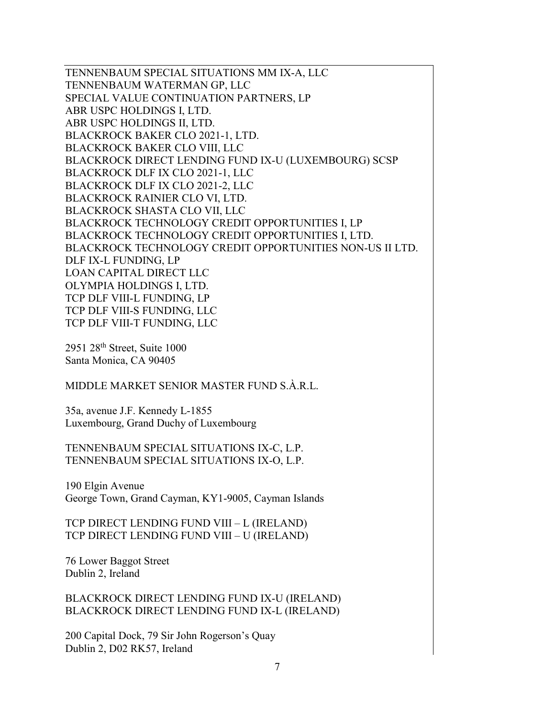TENNENBAUM SPECIAL SITUATIONS MM IX-A, LLC TENNENBAUM WATERMAN GP, LLC SPECIAL VALUE CONTINUATION PARTNERS, LP ABR USPC HOLDINGS I, LTD. ABR USPC HOLDINGS II, LTD. BLACKROCK BAKER CLO 2021-1, LTD. BLACKROCK BAKER CLO VIII, LLC BLACKROCK DIRECT LENDING FUND IX-U (LUXEMBOURG) SCSP BLACKROCK DLF IX CLO 2021-1, LLC BLACKROCK DLF IX CLO 2021-2, LLC BLACKROCK RAINIER CLO VI, LTD. BLACKROCK SHASTA CLO VII, LLC BLACKROCK TECHNOLOGY CREDIT OPPORTUNITIES I, LP BLACKROCK TECHNOLOGY CREDIT OPPORTUNITIES I, LTD. BLACKROCK TECHNOLOGY CREDIT OPPORTUNITIES NON-US II LTD. DLF IX-L FUNDING, LP LOAN CAPITAL DIRECT LLC OLYMPIA HOLDINGS I, LTD. TCP DLF VIII-L FUNDING, LP TCP DLF VIII-S FUNDING, LLC TCP DLF VIII-T FUNDING, LLC

 $2951$   $28<sup>th</sup>$  Street, Suite 1000 Santa Monica, CA 90405

MIDDLE MARKET SENIOR MASTER FUND S.À.R.L.

35a, avenue J.F. Kennedy L-1855 Luxembourg, Grand Duchy of Luxembourg

TENNENBAUM SPECIAL SITUATIONS IX-C, L.P. TENNENBAUM SPECIAL SITUATIONS IX-O, L.P.

190 Elgin Avenue George Town, Grand Cayman, KY1-9005, Cayman Islands

TCP DIRECT LENDING FUND VIII – L (IRELAND) TCP DIRECT LENDING FUND VIII – U (IRELAND)

76 Lower Baggot Street Dublin 2, Ireland

BLACKROCK DIRECT LENDING FUND IX-U (IRELAND) BLACKROCK DIRECT LENDING FUND IX-L (IRELAND)

200 Capital Dock, 79 Sir John Rogerson's Quay Dublin 2, D02 RK57, Ireland